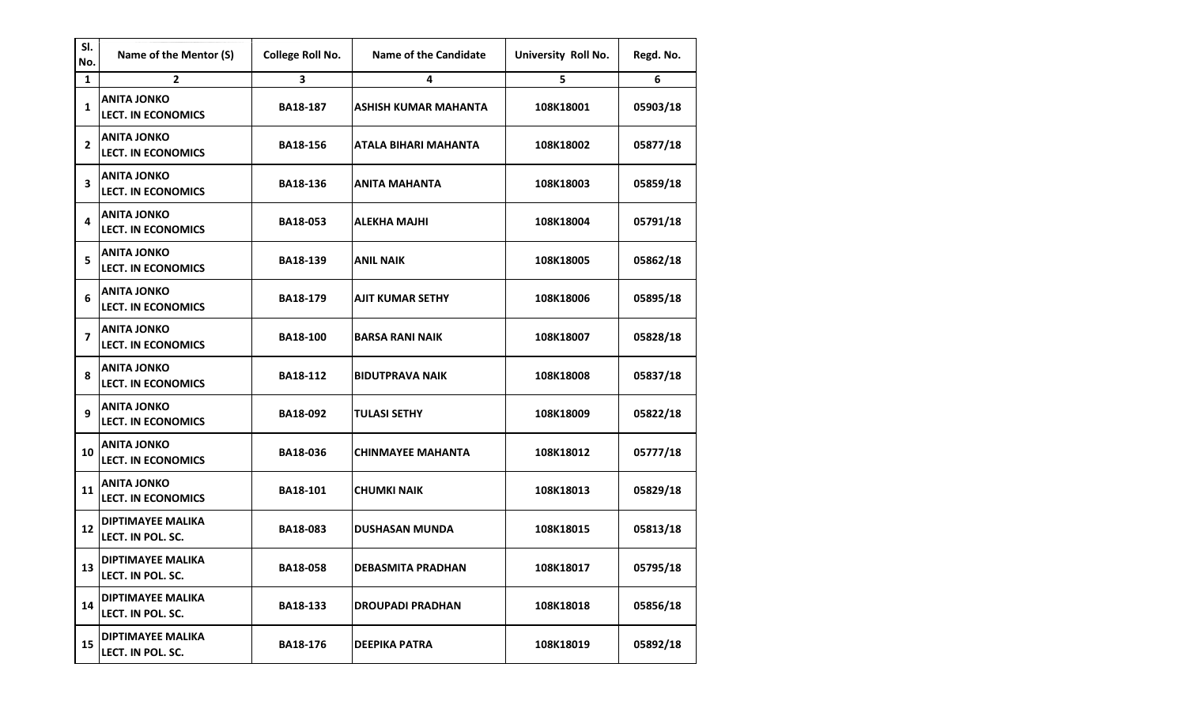| SI.<br>No.     | Name of the Mentor (S)                          | <b>College Roll No.</b> | <b>Name of the Candidate</b> | University Roll No. | Regd. No. |
|----------------|-------------------------------------------------|-------------------------|------------------------------|---------------------|-----------|
| $\mathbf{1}$   | $\overline{2}$                                  | 3                       | 4                            | 5                   | 6         |
| $\mathbf{1}$   | <b>ANITA JONKO</b><br><b>LECT. IN ECONOMICS</b> | <b>BA18-187</b>         | <b>ASHISH KUMAR MAHANTA</b>  | 108K18001           | 05903/18  |
| $\overline{2}$ | <b>ANITA JONKO</b><br><b>LECT. IN ECONOMICS</b> | <b>BA18-156</b>         | ATALA BIHARI MAHANTA         | 108K18002           | 05877/18  |
| 3              | <b>ANITA JONKO</b><br><b>LECT. IN ECONOMICS</b> | <b>BA18-136</b>         | <b>ANITA MAHANTA</b>         | 108K18003           | 05859/18  |
| 4              | <b>ANITA JONKO</b><br><b>LECT. IN ECONOMICS</b> | <b>BA18-053</b>         | ALEKHA MAJHI                 | 108K18004           | 05791/18  |
| 5              | <b>ANITA JONKO</b><br><b>LECT. IN ECONOMICS</b> | <b>BA18-139</b>         | <b>ANIL NAIK</b>             | 108K18005           | 05862/18  |
| 6              | <b>ANITA JONKO</b><br><b>LECT. IN ECONOMICS</b> | BA18-179                | <b>AJIT KUMAR SETHY</b>      | 108K18006           | 05895/18  |
| 7              | <b>ANITA JONKO</b><br><b>LECT. IN ECONOMICS</b> | <b>BA18-100</b>         | <b>BARSA RANI NAIK</b>       | 108K18007           | 05828/18  |
| 8              | <b>ANITA JONKO</b><br><b>LECT. IN ECONOMICS</b> | <b>BA18-112</b>         | <b>BIDUTPRAVA NAIK</b>       | 108K18008           | 05837/18  |
| 9              | <b>ANITA JONKO</b><br><b>LECT. IN ECONOMICS</b> | BA18-092                | <b>TULASI SETHY</b>          | 108K18009           | 05822/18  |
| 10             | <b>ANITA JONKO</b><br><b>LECT. IN ECONOMICS</b> | <b>BA18-036</b>         | <b>CHINMAYEE MAHANTA</b>     | 108K18012           | 05777/18  |
| 11             | <b>ANITA JONKO</b><br><b>LECT. IN ECONOMICS</b> | BA18-101                | <b>CHUMKI NAIK</b>           | 108K18013           | 05829/18  |
| 12             | <b>DIPTIMAYEE MALIKA</b><br>LECT. IN POL. SC.   | <b>BA18-083</b>         | <b>DUSHASAN MUNDA</b>        | 108K18015           | 05813/18  |
| 13             | <b>DIPTIMAYEE MALIKA</b><br>LECT. IN POL. SC.   | <b>BA18-058</b>         | DEBASMITA PRADHAN            | 108K18017           | 05795/18  |
| 14             | <b>DIPTIMAYEE MALIKA</b><br>LECT. IN POL. SC.   | <b>BA18-133</b>         | <b>DROUPADI PRADHAN</b>      | 108K18018           | 05856/18  |
| 15             | <b>DIPTIMAYEE MALIKA</b><br>LECT. IN POL. SC.   | <b>BA18-176</b>         | <b>DEEPIKA PATRA</b>         | 108K18019           | 05892/18  |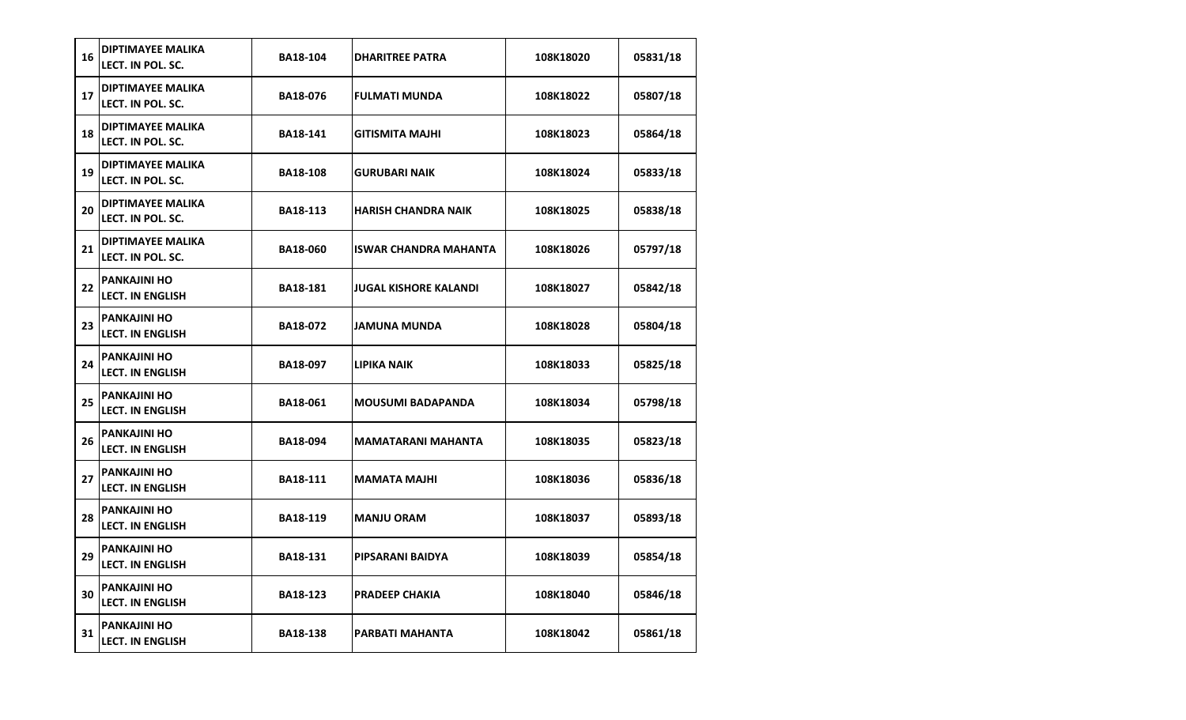| 16 | <b>DIPTIMAYEE MALIKA</b><br>LECT. IN POL. SC.  | <b>BA18-104</b> | DHARITREE PATRA          | 108K18020 | 05831/18 |
|----|------------------------------------------------|-----------------|--------------------------|-----------|----------|
| 17 | <b>DIPTIMAYEE MALIKA</b><br>LECT. IN POL. SC.  | <b>BA18-076</b> | <b>FULMATI MUNDA</b>     | 108K18022 | 05807/18 |
| 18 | <b>DIPTIMAYEE MALIKA</b><br>LECT. IN POL. SC.  | BA18-141        | <b>GITISMITA MAJHI</b>   | 108K18023 | 05864/18 |
| 19 | <b>DIPTIMAYEE MALIKA</b><br>LECT. IN POL. SC.  | <b>BA18-108</b> | GURUBARI NAIK            | 108K18024 | 05833/18 |
| 20 | <b>DIPTIMAYEE MALIKA</b><br>LECT. IN POL. SC.  | <b>BA18-113</b> | HARISH CHANDRA NAIK      | 108K18025 | 05838/18 |
| 21 | <b>DIPTIMAYEE MALIKA</b><br>LECT. IN POL. SC.  | <b>BA18-060</b> | ISWAR CHANDRA MAHANTA    | 108K18026 | 05797/18 |
| 22 | <b>PANKAJINI HO</b><br><b>LECT. IN ENGLISH</b> | <b>BA18-181</b> | JUGAL KISHORE KALANDI    | 108K18027 | 05842/18 |
| 23 | <b>PANKAJINI HO</b><br><b>LECT. IN ENGLISH</b> | BA18-072        | JAMUNA MUNDA             | 108K18028 | 05804/18 |
| 24 | <b>PANKAJINI HO</b><br><b>LECT. IN ENGLISH</b> | <b>BA18-097</b> | LIPIKA NAIK              | 108K18033 | 05825/18 |
| 25 | <b>PANKAJINI HO</b><br><b>LECT. IN ENGLISH</b> | <b>BA18-061</b> | <b>MOUSUMI BADAPANDA</b> | 108K18034 | 05798/18 |
| 26 | <b>PANKAJINI HO</b><br><b>LECT. IN ENGLISH</b> | <b>BA18-094</b> | MAMATARANI MAHANTA       | 108K18035 | 05823/18 |
| 27 | <b>PANKAJINI HO</b><br><b>LECT. IN ENGLISH</b> | BA18-111        | <b>MAMATA MAJHI</b>      | 108K18036 | 05836/18 |
| 28 | <b>PANKAJINI HO</b><br><b>LECT. IN ENGLISH</b> | <b>BA18-119</b> | <b>MANJU ORAM</b>        | 108K18037 | 05893/18 |
| 29 | <b>PANKAJINI HO</b><br><b>LECT. IN ENGLISH</b> | <b>BA18-131</b> | PIPSARANI BAIDYA         | 108K18039 | 05854/18 |
| 30 | <b>PANKAJINI HO</b><br><b>LECT. IN ENGLISH</b> | BA18-123        | PRADEEP CHAKIA           | 108K18040 | 05846/18 |
| 31 | <b>PANKAJINI HO</b><br><b>LECT. IN ENGLISH</b> | <b>BA18-138</b> | PARBATI MAHANTA          | 108K18042 | 05861/18 |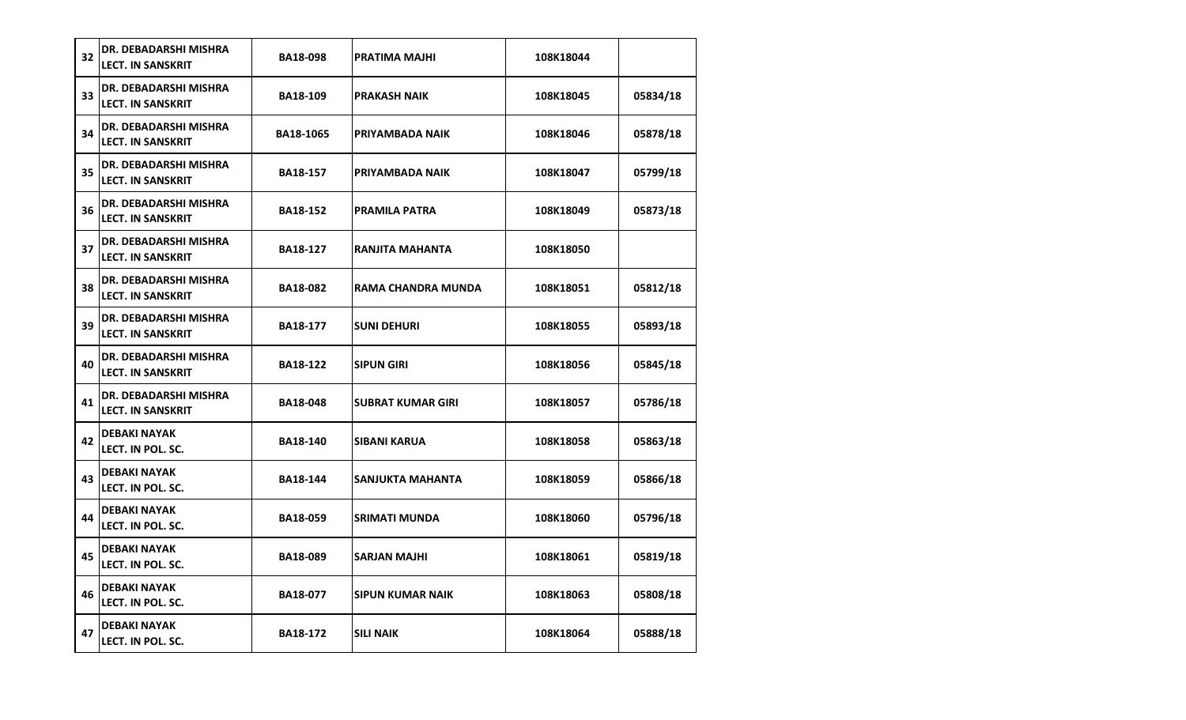| 32 | DR. DEBADARSHI MISHRA<br><b>LECT. IN SANSKRIT</b> | <b>BA18-098</b>  | PRATIMA MAJHI            | 108K18044 |          |
|----|---------------------------------------------------|------------------|--------------------------|-----------|----------|
| 33 | DR. DEBADARSHI MISHRA<br><b>LECT. IN SANSKRIT</b> | <b>BA18-109</b>  | <b>PRAKASH NAIK</b>      | 108K18045 | 05834/18 |
| 34 | DR. DEBADARSHI MISHRA<br><b>LECT. IN SANSKRIT</b> | <b>BA18-1065</b> | PRIYAMBADA NAIK          | 108K18046 | 05878/18 |
| 35 | DR. DEBADARSHI MISHRA<br><b>LECT. IN SANSKRIT</b> | <b>BA18-157</b>  | PRIYAMBADA NAIK          | 108K18047 | 05799/18 |
| 36 | DR. DEBADARSHI MISHRA<br><b>LECT. IN SANSKRIT</b> | <b>BA18-152</b>  | <b>PRAMILA PATRA</b>     | 108K18049 | 05873/18 |
| 37 | DR. DEBADARSHI MISHRA<br><b>LECT. IN SANSKRIT</b> | <b>BA18-127</b>  | RANJITA MAHANTA          | 108K18050 |          |
| 38 | DR. DEBADARSHI MISHRA<br><b>LECT. IN SANSKRIT</b> | <b>BA18-082</b>  | RAMA CHANDRA MUNDA       | 108K18051 | 05812/18 |
| 39 | DR. DEBADARSHI MISHRA<br><b>LECT. IN SANSKRIT</b> | <b>BA18-177</b>  | <b>SUNI DEHURI</b>       | 108K18055 | 05893/18 |
| 40 | DR. DEBADARSHI MISHRA<br><b>LECT. IN SANSKRIT</b> | <b>BA18-122</b>  | <b>SIPUN GIRI</b>        | 108K18056 | 05845/18 |
| 41 | DR. DEBADARSHI MISHRA<br><b>LECT. IN SANSKRIT</b> | <b>BA18-048</b>  | <b>SUBRAT KUMAR GIRI</b> | 108K18057 | 05786/18 |
| 42 | DEBAKI NAYAK<br>LECT. IN POL. SC.                 | <b>BA18-140</b>  | <b>SIBANI KARUA</b>      | 108K18058 | 05863/18 |
| 43 | <b>DEBAKI NAYAK</b><br>LECT. IN POL. SC.          | <b>BA18-144</b>  | SANJUKTA MAHANTA         | 108K18059 | 05866/18 |
| 44 | <b>DEBAKI NAYAK</b><br>LECT. IN POL. SC.          | <b>BA18-059</b>  | <b>SRIMATI MUNDA</b>     | 108K18060 | 05796/18 |
| 45 | DEBAKI NAYAK<br>LECT. IN POL. SC.                 | <b>BA18-089</b>  | <b>SARJAN MAJHI</b>      | 108K18061 | 05819/18 |
| 46 | <b>DEBAKI NAYAK</b><br>LECT. IN POL. SC.          | <b>BA18-077</b>  | <b>SIPUN KUMAR NAIK</b>  | 108K18063 | 05808/18 |
| 47 | <b>DEBAKI NAYAK</b><br>LECT. IN POL. SC.          | <b>BA18-172</b>  | <b>SILI NAIK</b>         | 108K18064 | 05888/18 |